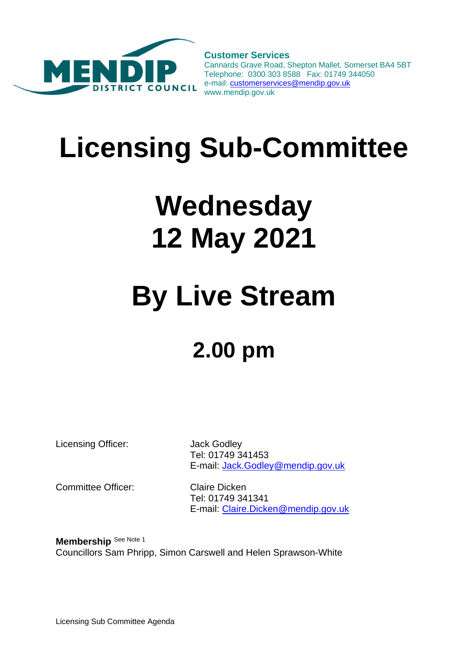

**Customer Services** Cannards Grave Road, Shepton Mallet, Somerset BA4 5BT Telephone: 0300 303 8588 Fax: 01749 344050 e-mail[: customerservices@mendip.gov.uk](mailto:customerservices@mendip.gov.uk) www.mendip.gov.uk

# **Licensing Sub-Committee**

# **Wednesday 12 May 2021**

## **By Live Stream**

### **2.00 pm**

Licensing Officer: Jack Godley

Tel: 01749 341453 E-mail: [Jack.Godley@mendip.gov.uk](mailto:Jack.Godley@mendip.gov.uk)

Committee Officer: Claire Dicken

Tel: 01749 341341 E-mail: [Claire.Dicken@mendip.gov.uk](mailto:Claire.Dicken@mendip.gov.uk)

**Membership** See Note 1 Councillors Sam Phripp, Simon Carswell and Helen Sprawson-White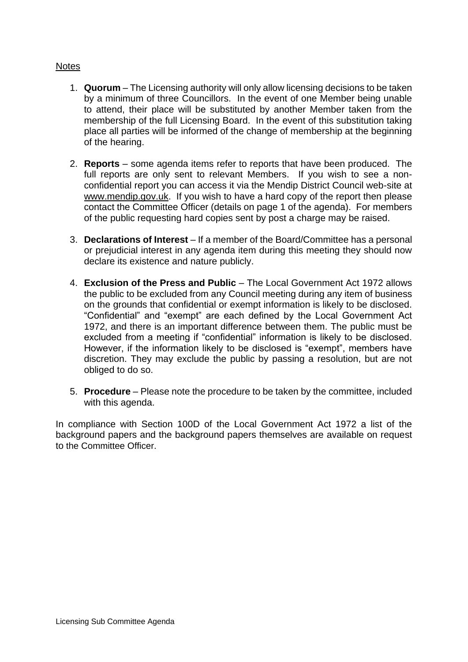#### **Notes**

- 1. **Quorum** The Licensing authority will only allow licensing decisions to be taken by a minimum of three Councillors. In the event of one Member being unable to attend, their place will be substituted by another Member taken from the membership of the full Licensing Board. In the event of this substitution taking place all parties will be informed of the change of membership at the beginning of the hearing.
- 2. **Reports** some agenda items refer to reports that have been produced. The full reports are only sent to relevant Members. If you wish to see a nonconfidential report you can access it via the Mendip District Council web-site at www.mendip.gov.uk. If you wish to have a hard copy of the report then please contact the Committee Officer (details on page 1 of the agenda). For members of the public requesting hard copies sent by post a charge may be raised.
- 3. **Declarations of Interest** If a member of the Board/Committee has a personal or prejudicial interest in any agenda item during this meeting they should now declare its existence and nature publicly.
- 4. **Exclusion of the Press and Public**  The Local Government Act 1972 allows the public to be excluded from any Council meeting during any item of business on the grounds that confidential or exempt information is likely to be disclosed. "Confidential" and "exempt" are each defined by the Local Government Act 1972, and there is an important difference between them. The public must be excluded from a meeting if "confidential" information is likely to be disclosed. However, if the information likely to be disclosed is "exempt", members have discretion. They may exclude the public by passing a resolution, but are not obliged to do so.
- 5. **Procedure** Please note the procedure to be taken by the committee, included with this agenda.

In compliance with Section 100D of the Local Government Act 1972 a list of the background papers and the background papers themselves are available on request to the Committee Officer.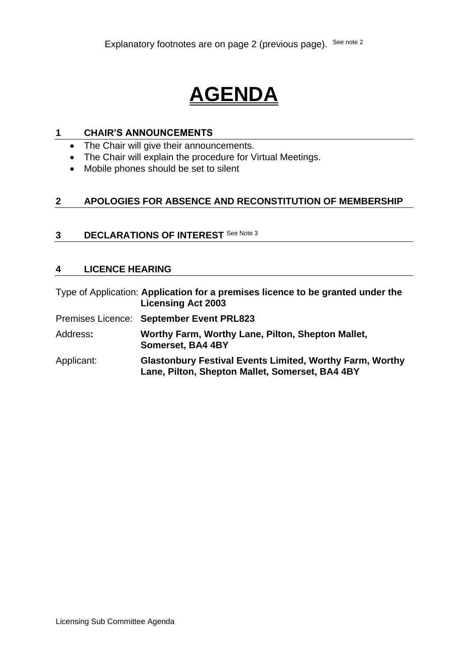### **AGENDA**

#### **1 CHAIR'S ANNOUNCEMENTS**

- The Chair will give their announcements.
- The Chair will explain the procedure for Virtual Meetings.
- Mobile phones should be set to silent

#### **2 APOLOGIES FOR ABSENCE AND RECONSTITUTION OF MEMBERSHIP**

#### **3 DECLARATIONS OF INTEREST** See Note 3

#### **4 LICENCE HEARING**

Type of Application: **Application for a premises licence to be granted under the Licensing Act 2003**

- Premises Licence: **September Event PRL823**
- Address**: Worthy Farm, Worthy Lane, Pilton, Shepton Mallet, Somerset, BA4 4BY**
- Applicant: **Glastonbury Festival Events Limited, Worthy Farm, Worthy Lane, Pilton, Shepton Mallet, Somerset, BA4 4BY**